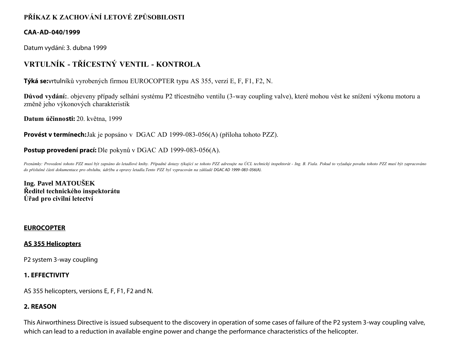# **PŘÍKAZ K ZACHOVÁNÍ LETOVÉ ZPŮSOBILOSTI**

#### **CAA-AD-040/1999**

Datum vydání: 3. dubna 1999

# **VRTULNÍK - TŘÍCESTNÝ VENTIL - KONTROLA**

**Týká se:**vrtulníků vyrobených firmou EUROCOPTER typu AS 355, verzí E, F, F1, F2, N.

**Důvod vydání:**. objeveny případy selhání systému P2 třícestného ventilu (3-way coupling valve), které mohou vést ke snížení výkonu motoru a změně jeho výkonových charakteristik

**Datum účinnosti:** 20. května, 1999

**Provést v termínech:**Jak je popsáno v DGAC AD 1999-083-056(A) (příloha tohoto PZZ).

#### **Postup provedení prací:** Dle pokynů v DGAC AD 1999-083-056(A).

Poznámky: Provedení tohoto PZZ musí být zapsáno do letadlové knihy. Případné dotazy týkající se tohoto PZZ adresujte na ÚCL technický inspektorát - Ing. B. Fiala. Pokud to vyžaduje povaha tohoto PZZ musí být zapracováno *do příslušné části dokumentace pro obsluhu, údržbu a opravy letadla.Tento PZZ byl vypracován na základě DGAC AD 1999- 083- 056(A).*

**Ing. Pavel MATOUŠEK Ředitel technického inspektorátu Úřad pro civilní letectví**

#### **EUROCOPTER**

#### **AS 355 Helicopters**

P2 system 3-way coupling

# **1. EFFECTIVITY**

AS 355 helicopters, versions E, F, F1, F2 and N.

#### **2. REASON**

This Airworthiness Directive is issued subsequent to the discovery in operation of some cases of failure of the P2 system 3-way coupling valve, which can lead to a reduction in available engine power and change the performance characteristics of the helicopter.